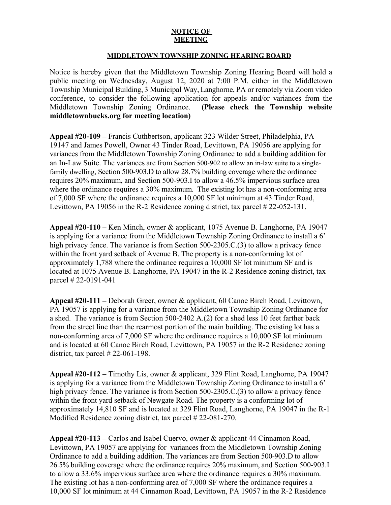## **NOTICE OF MEETING**

## **MIDDLETOWN TOWNSHIP ZONING HEARING BOARD**

Notice is hereby given that the Middletown Township Zoning Hearing Board will hold a public meeting on Wednesday, August 12, 2020 at 7:00 P.M. either in the Middletown Township Municipal Building, 3 Municipal Way, Langhorne, PA or remotely via Zoom video conference, to consider the following application for appeals and/or variances from the Middletown Township Zoning Ordinance. **(Please check the Township website middletownbucks.org for meeting location)** 

**Appeal #20-109 –** Francis Cuthbertson, applicant 323 Wilder Street, Philadelphia, PA 19147 and James Powell, Owner 43 Tinder Road, Levittown, PA 19056 are applying for variances from the Middletown Township Zoning Ordinance to add a building addition for an In-Law Suite. The variances are from Section 500-902 to allow an in-law suite to a singlefamily dwelling, Section 500-903.D to allow 28.7% building coverage where the ordinance requires 20% maximum, and Section 500-903.I to allow a 46.5% impervious surface area where the ordinance requires a 30% maximum. The existing lot has a non-conforming area of 7,000 SF where the ordinance requires a 10,000 SF lot minimum at 43 Tinder Road, Levittown, PA 19056 in the R-2 Residence zoning district, tax parcel # 22-052-131.

**Appeal #20-110 –** Ken Minch, owner & applicant, 1075 Avenue B. Langhorne, PA 19047 is applying for a variance from the Middletown Township Zoning Ordinance to install a 6' high privacy fence. The variance is from Section 500-2305.C.(3) to allow a privacy fence within the front yard setback of Avenue B. The property is a non-conforming lot of approximately 1,788 where the ordinance requires a 10,000 SF lot minimum SF and is located at 1075 Avenue B. Langhorne, PA 19047 in the R-2 Residence zoning district, tax parcel # 22-0191-041

**Appeal #20-111 –** Deborah Greer, owner & applicant, 60 Canoe Birch Road, Levittown, PA 19057 is applying for a variance from the Middletown Township Zoning Ordinance for a shed. The variance is from Section 500-2402 A.(2) for a shed less 10 feet farther back from the street line than the rearmost portion of the main building. The existing lot has a non-conforming area of 7,000 SF where the ordinance requires a 10,000 SF lot minimum and is located at 60 Canoe Birch Road, Levittown, PA 19057 in the R-2 Residence zoning district, tax parcel  $\# 22{\text -}061{\text -}198$ .

**Appeal #20-112 –** Timothy Lis, owner & applicant, 329 Flint Road, Langhorne, PA 19047 is applying for a variance from the Middletown Township Zoning Ordinance to install a 6' high privacy fence. The variance is from Section 500-2305.C.(3) to allow a privacy fence within the front yard setback of Newgate Road. The property is a conforming lot of approximately 14,810 SF and is located at 329 Flint Road, Langhorne, PA 19047 in the R-1 Modified Residence zoning district, tax parcel # 22-081-270.

**Appeal #20-113 –** Carlos and Isabel Cuervo, owner & applicant 44 Cinnamon Road, Levittown, PA 19057 are applying for variances from the Middletown Township Zoning Ordinance to add a building addition. The variances are from Section 500-903.D to allow 26.5% building coverage where the ordinance requires 20% maximum, and Section 500-903.I to allow a 33.6% impervious surface area where the ordinance requires a 30% maximum. The existing lot has a non-conforming area of 7,000 SF where the ordinance requires a 10,000 SF lot minimum at 44 Cinnamon Road, Levittown, PA 19057 in the R-2 Residence